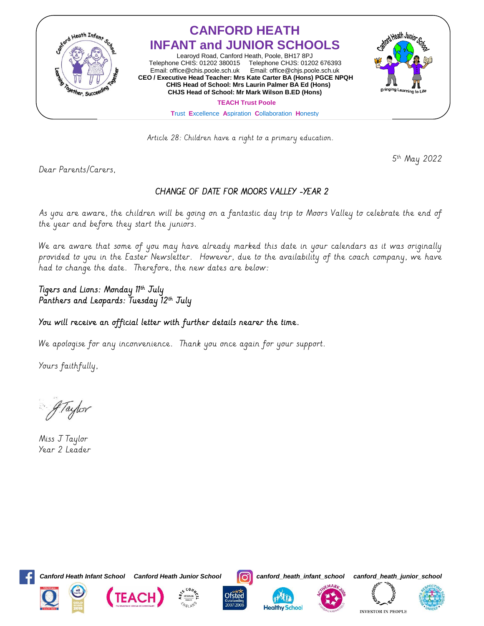

Article 28: Children have a right to a primary education.

5th May 2022

Dear Parents/Carers,

## CHANGE OF DATE FOR MOORS VALLEY -YEAR 2

As you are aware, the children will be going on a fantastic day trip to Moors Valley to celebrate the end of the year and before they start the juniors.

We are aware that some of you may have already marked this date in your calendars as it was originally provided to you in the Easter Newsletter. However, due to the availability of the coach company, we have had to change the date. Therefore, the new dates are below:

## ligers and Lions: Monday II<sup>ir</sup> July Panthers and Leopards: Tuesday 12th July

## You will receive an official letter with further details nearer the time.

We apologise for any inconvenience. Thank you once again for your support.

Yours faithfully,

4 Taylor

Miss J Taylor Year 2 Leader



Ĩ

*Canford Heath Infant School Canford Heath Junior School canford\_heath\_infant\_school canford\_heath\_junior\_school*